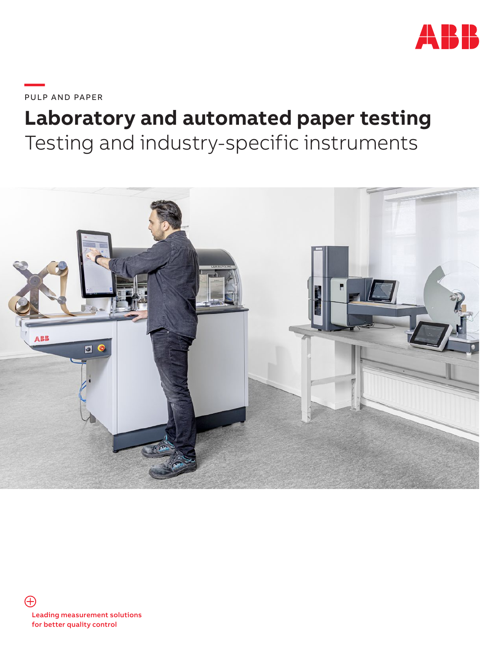

**—**PULP AND PAPER

## **Laboratory and automated paper testing** Testing and industry-specific instruments

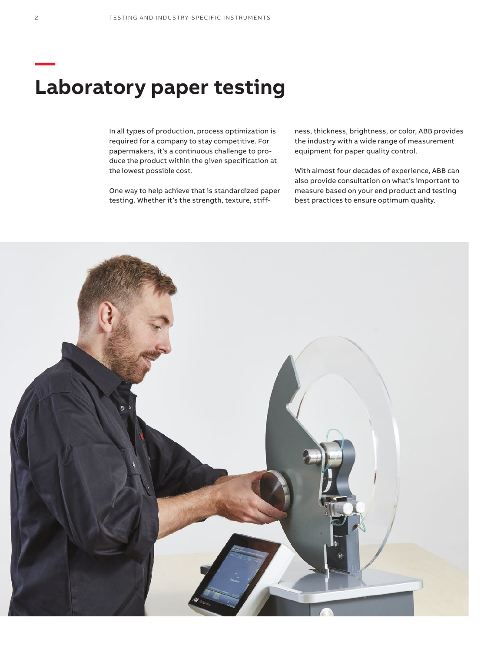### **Laboratory paper testing**

In all types of production, process optimization is required for a company to stay competitive. For papermakers, it's a continuous challenge to produce the product within the given specification at the lowest possible cost.

One way to help achieve that is standardized paper testing. Whether it's the strength, texture, stiffness, thickness, brightness, or color, ABB provides the industry with a wide range of measurement equipment for paper quality control.

With almost four decades of experience, ABB can also provide consultation on what's important to measure based on your end product and testing best practices to ensure optimum quality.



**—**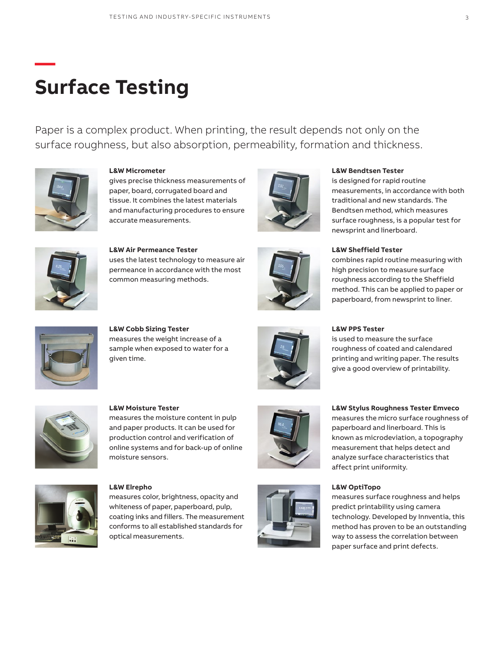### **Surface Testing**

Paper is a complex product. When printing, the result depends not only on the surface roughness, but also absorption, permeability, formation and thickness.



**—**

**L&W Micrometer**

gives precise thickness measurements of paper, board, corrugated board and tissue. It combines the latest materials and manufacturing procedures to ensure accurate measurements.



### **L&W Bendtsen Tester**

is designed for rapid routine measurements, in accordance with both traditional and new standards. The Bendtsen method, which measures surface roughness, is a popular test for newsprint and linerboard.

combines rapid routine measuring with high precision to measure surface roughness according to the Sheffield method. This can be applied to paper or



**L&W Air Permeance Tester** uses the latest technology to measure air permeance in accordance with the most common measuring methods.



#### **L&W PPS Tester**

is used to measure the surface roughness of coated and calendared printing and writing paper. The results give a good overview of printability.



**L&W Moisture Tester**

**L&W Cobb Sizing Tester**

given time.

measures the weight increase of a sample when exposed to water for a

measures the moisture content in pulp and paper products. It can be used for production control and verification of online systems and for back-up of online moisture sensors.



**L&W Elrepho** 

measures color, brightness, opacity and whiteness of paper, paperboard, pulp, coating inks and fillers. The measurement conforms to all established standards for optical measurements.





#### paperboard and linerboard. This is

**L&W Stylus Roughness Tester Emveco** measures the micro surface roughness of

known as microdeviation, a topography measurement that helps detect and analyze surface characteristics that affect print uniformity.

#### **L&W OptiTopo**

measures surface roughness and helps predict printability using camera technology. Developed by Innventia, this method has proven to be an outstanding way to assess the correlation between paper surface and print defects.

### paperboard, from newsprint to liner.

**L&W Sheffield Tester**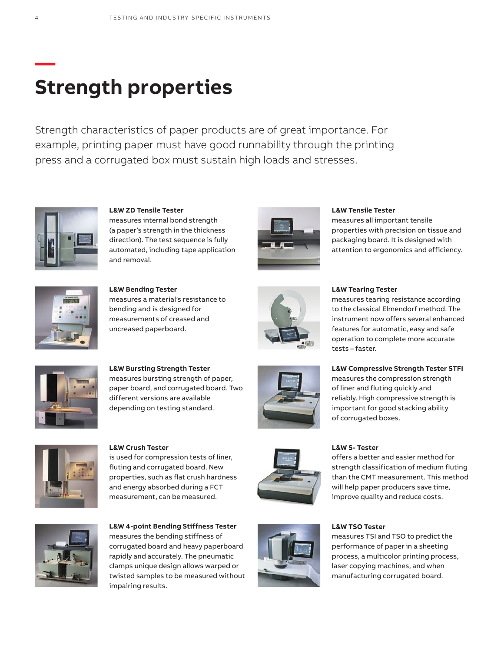# **Strength properties**

Strength characteristics of paper products are of great importance. For example, printing paper must have good runnability through the printing press and a corrugated box must sustain high loads and stresses.



**L&W ZD Tensile Tester**  measures internal bond strength (a paper's strength in the thickness direction). The test sequence is fully automated, including tape application and removal.



**L&W Tensile Tester**

measures all important tensile properties with precision on tissue and packaging board. It is designed with attention to ergonomics and efficiency.



**L&W Bending Tester** measures a material's resistance to bending and is designed for measurements of creased and uncreased paperboard.



### **L&W Tearing Tester**

measures tearing resistance according to the classical Elmendorf method. The instrument now offers several enhanced features for automatic, easy and safe operation to complete more accurate tests – faster.

**L&W Compressive Strength Tester STFI** measures the compression strength of liner and fluting quickly and reliably. High compressive strength is important for good stacking ability



**L&W Bursting Strength Tester** measures bursting strength of paper, paper board, and corrugated board. Two different versions are available depending on testing standard.



**L&W Crush Tester** is used for compression tests of liner, fluting and corrugated board. New properties, such as flat crush hardness and energy absorbed during a FCT measurement, can be measured.



**L&W S- Tester** 

of corrugated boxes.

offers a better and easier method for strength classification of medium fluting than the CMT measurement. This method will help paper producers save time, improve quality and reduce costs.



**L&W 4-point Bending Stiffness Tester**  measures the bending stiffness of corrugated board and heavy paperboard rapidly and accurately. The pneumatic clamps unique design allows warped or twisted samples to be measured without impairing results.



#### **L&W TSO Tester**

measures TSI and TSO to predict the performance of paper in a sheeting process, a multicolor printing process, laser copying machines, and when manufacturing corrugated board.

**—**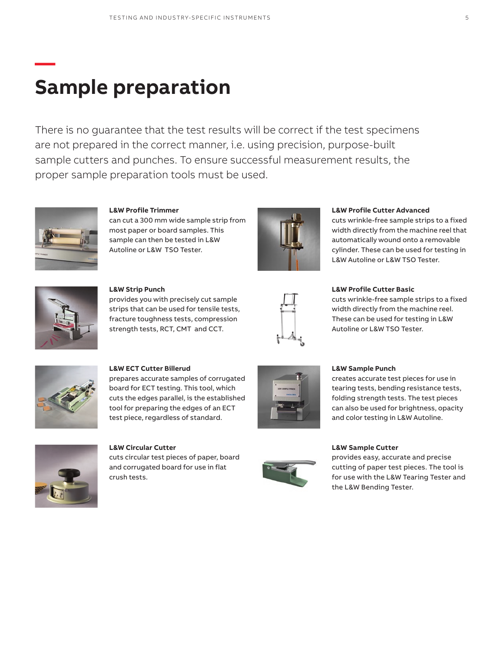# **Sample preparation**

There is no guarantee that the test results will be correct if the test specimens are not prepared in the correct manner, i.e. using precision, purpose-built sample cutters and punches. To ensure successful measurement results, the proper sample preparation tools must be used.



**—**

**L&W Profile Trimmer** can cut a 300 mm wide sample strip from most paper or board samples. This sample can then be tested in L&W Autoline or L&W TSO Tester.



#### **L&W Profile Cutter Advanced**

cuts wrinkle-free sample strips to a fixed width directly from the machine reel that automatically wound onto a removable cylinder. These can be used for testing in L&W Autoline or L&W TSO Tester.



**L&W Strip Punch** provides you with precisely cut sample strips that can be used for tensile tests, fracture toughness tests, compression strength tests, RCT, CMT and CCT.



#### **L&W Profile Cutter Basic**

cuts wrinkle-free sample strips to a fixed width directly from the machine reel. These can be used for testing in L&W Autoline or L&W TSO Tester.



**L&W ECT Cutter Billerud** prepares accurate samples of corrugated board for ECT testing. This tool, which cuts the edges parallel, is the established tool for preparing the edges of an ECT test piece, regardless of standard.



**L&W Circular Cutter** cuts circular test pieces of paper, board and corrugated board for use in flat crush tests.





creates accurate test pieces for use in tearing tests, bending resistance tests, folding strength tests. The test pieces can also be used for brightness, opacity and color testing in L&W Autoline.



#### **L&W Sample Cutter**

provides easy, accurate and precise cutting of paper test pieces. The tool is for use with the L&W Tearing Tester and the L&W Bending Tester.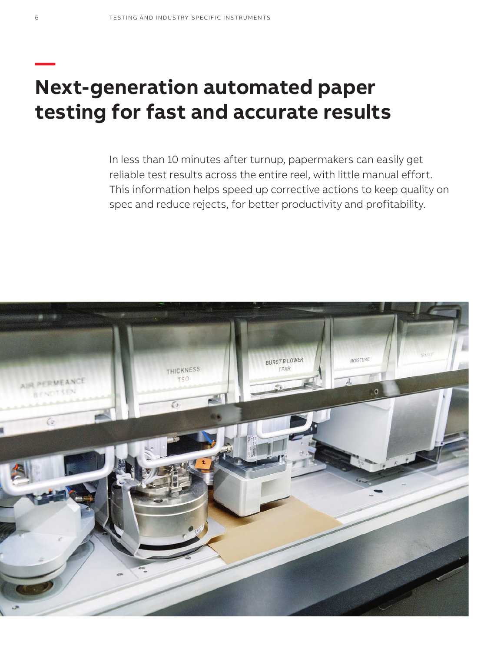### **Next-generation automated paper testing for fast and accurate results**

In less than 10 minutes after turnup, papermakers can easily get reliable test results across the entire reel, with little manual effort. This information helps speed up corrective actions to keep quality on spec and reduce rejects, for better productivity and profitability.



**—**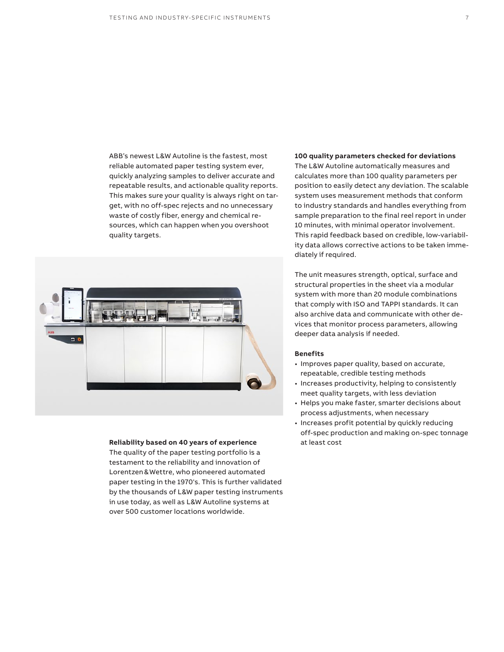ABB's newest L&W Autoline is the fastest, most reliable automated paper testing system ever, quickly analyzing samples to deliver accurate and repeatable results, and actionable quality reports. This makes sure your quality is always right on target, with no off-spec rejects and no unnecessary waste of costly fiber, energy and chemical resources, which can happen when you overshoot



quality targets.

#### **Reliability based on 40 years of experience** at least cost

The quality of the paper testing portfolio is a testament to the reliability and innovation of Lorentzen&Wettre, who pioneered automated paper testing in the 1970's. This is further validated by the thousands of L&W paper testing instruments in use today, as well as L&W Autoline systems at over 500 customer locations worldwide.

#### **100 quality parameters checked for deviations**

The L&W Autoline automatically measures and calculates more than 100 quality parameters per position to easily detect any deviation. The scalable system uses measurement methods that conform to industry standards and handles everything from sample preparation to the final reel report in under 10 minutes, with minimal operator involvement. This rapid feedback based on credible, low-variability data allows corrective actions to be taken immediately if required.

The unit measures strength, optical, surface and structural properties in the sheet via a modular system with more than 20 module combinations that comply with ISO and TAPPI standards. It can also archive data and communicate with other devices that monitor process parameters, allowing deeper data analysis if needed.

#### **Benefits**

- Improves paper quality, based on accurate, repeatable, credible testing methods
- Increases productivity, helping to consistently meet quality targets, with less deviation
- Helps you make faster, smarter decisions about process adjustments, when necessary
- Increases profit potential by quickly reducing off-spec production and making on-spec tonnage